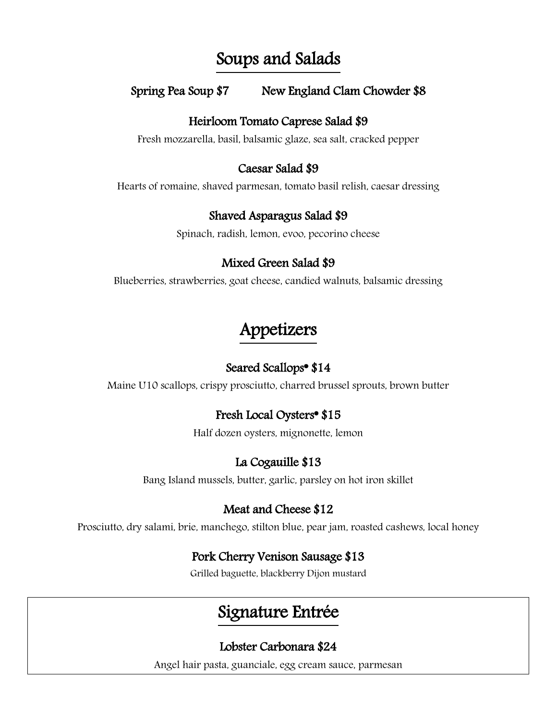## Soups and Salads

## Spring Pea Soup \$7 New England Clam Chowder \$8

#### Heirloom Tomato Caprese Salad \$9

Fresh mozzarella, basil, balsamic glaze, sea salt, cracked pepper

#### Caesar Salad \$9

Hearts of romaine, shaved parmesan, tomato basil relish, caesar dressing

## Shaved Asparagus Salad \$9

Spinach, radish, lemon, evoo, pecorino cheese

## Mixed Green Salad \$9

Blueberries, strawberries, goat cheese, candied walnuts, balsamic dressing

# Appetizers

## Seared Scallops\* \$14

Maine U10 scallops, crispy prosciutto, charred brussel sprouts, brown butter

## Fresh Local Oysters\* \$15

Half dozen oysters, mignonette, lemon

## La Cogauille \$13

Bang Island mussels, butter, garlic, parsley on hot iron skillet

## Meat and Cheese \$12

Prosciutto, dry salami, brie, manchego, stilton blue, pear jam, roasted cashews, local honey

## Pork Cherry Venison Sausage \$13

Grilled baguette, blackberry Dijon mustard

# Signature Entrée

## Lobster Carbonara \$24

Angel hair pasta, guanciale, egg cream sauce, parmesan